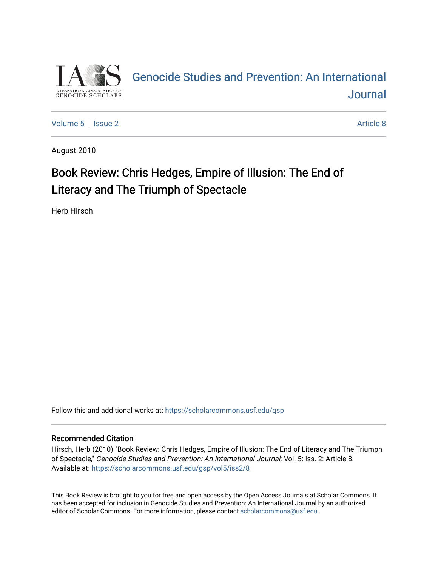

# [Genocide Studies and Prevention: An International](https://scholarcommons.usf.edu/gsp)  **Journal**

[Volume 5](https://scholarcommons.usf.edu/gsp/vol5) | [Issue 2](https://scholarcommons.usf.edu/gsp/vol5/iss2) Article 8

August 2010

# Book Review: Chris Hedges, Empire of Illusion: The End of Literacy and The Triumph of Spectacle

Herb Hirsch

Follow this and additional works at: [https://scholarcommons.usf.edu/gsp](https://scholarcommons.usf.edu/gsp?utm_source=scholarcommons.usf.edu%2Fgsp%2Fvol5%2Fiss2%2F8&utm_medium=PDF&utm_campaign=PDFCoverPages)

### Recommended Citation

Hirsch, Herb (2010) "Book Review: Chris Hedges, Empire of Illusion: The End of Literacy and The Triumph of Spectacle," Genocide Studies and Prevention: An International Journal: Vol. 5: Iss. 2: Article 8. Available at: [https://scholarcommons.usf.edu/gsp/vol5/iss2/8](https://scholarcommons.usf.edu/gsp/vol5/iss2/8?utm_source=scholarcommons.usf.edu%2Fgsp%2Fvol5%2Fiss2%2F8&utm_medium=PDF&utm_campaign=PDFCoverPages)

This Book Review is brought to you for free and open access by the Open Access Journals at Scholar Commons. It has been accepted for inclusion in Genocide Studies and Prevention: An International Journal by an authorized editor of Scholar Commons. For more information, please contact [scholarcommons@usf.edu.](mailto:scholarcommons@usf.edu)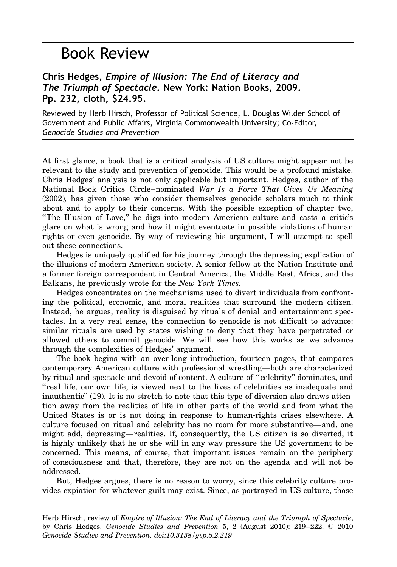## Book Review

## Chris Hedges, Empire of Illusion: The End of Literacy and The Triumph of Spectacle. New York: Nation Books, 2009. Pp. 232, cloth, \$24.95.

Reviewed by Herb Hirsch, Professor of Political Science, L. Douglas Wilder School of Government and Public Affairs, Virginia Commonwealth University; Co-Editor, Genocide Studies and Prevention

At first glance, a book that is a critical analysis of US culture might appear not be relevant to the study and prevention of genocide. This would be a profound mistake. Chris Hedges' analysis is not only applicable but important. Hedges, author of the National Book Critics Circle–nominated War Is a Force That Gives Us Meaning (2002), has given those who consider themselves genocide scholars much to think about and to apply to their concerns. With the possible exception of chapter two, ''The Illusion of Love,'' he digs into modern American culture and casts a critic's glare on what is wrong and how it might eventuate in possible violations of human rights or even genocide. By way of reviewing his argument, I will attempt to spell out these connections.

Hedges is uniquely qualified for his journey through the depressing explication of the illusions of modern American society. A senior fellow at the Nation Institute and a former foreign correspondent in Central America, the Middle East, Africa, and the Balkans, he previously wrote for the *New York Times*.

Hedges concentrates on the mechanisms used to divert individuals from confronting the political, economic, and moral realities that surround the modern citizen. Instead, he argues, reality is disguised by rituals of denial and entertainment spectacles. In a very real sense, the connection to genocide is not difficult to advance: similar rituals are used by states wishing to deny that they have perpetrated or allowed others to commit genocide. We will see how this works as we advance through the complexities of Hedges' argument.

The book begins with an over-long introduction, fourteen pages, that compares contemporary American culture with professional wrestling—both are characterized by ritual and spectacle and devoid of content. A culture of ''celebrity'' dominates, and "real life, our own life, is viewed next to the lives of celebrities as inadequate and inauthentic'' (19). It is no stretch to note that this type of diversion also draws attention away from the realities of life in other parts of the world and from what the United States is or is not doing in response to human-rights crises elsewhere. A culture focused on ritual and celebrity has no room for more substantive—and, one might add, depressing—realities. If, consequently, the US citizen is so diverted, it is highly unlikely that he or she will in any way pressure the US government to be concerned. This means, of course, that important issues remain on the periphery of consciousness and that, therefore, they are not on the agenda and will not be addressed.

But, Hedges argues, there is no reason to worry, since this celebrity culture provides expiation for whatever guilt may exist. Since, as portrayed in US culture, those

Herb Hirsch, review of Empire of Illusion: The End of Literacy and the Triumph of Spectacle, by Chris Hedges. Genocide Studies and Prevention 5, 2 (August 2010):  $219-222$ .  $\odot$  2010 Genocide Studies and Prevention. doi:10.3138/gsp.5.2.219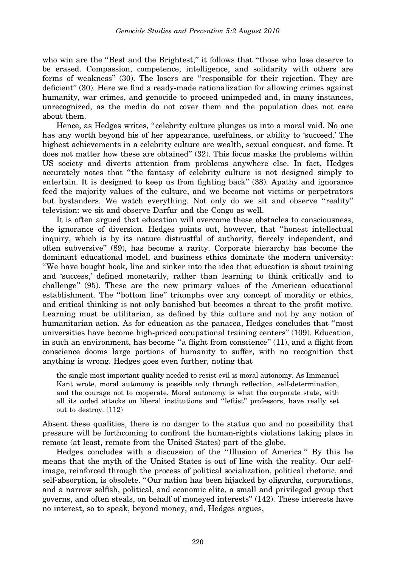who win are the "Best and the Brightest," it follows that "those who lose deserve to be erased. Compassion, competence, intelligence, and solidarity with others are forms of weakness'' (30). The losers are ''responsible for their rejection. They are deficient'' (30). Here we find a ready-made rationalization for allowing crimes against humanity, war crimes, and genocide to proceed unimpeded and, in many instances, unrecognized, as the media do not cover them and the population does not care about them.

Hence, as Hedges writes, ''celebrity culture plunges us into a moral void. No one has any worth beyond his of her appearance, usefulness, or ability to 'succeed.' The highest achievements in a celebrity culture are wealth, sexual conquest, and fame. It does not matter how these are obtained'' (32). This focus masks the problems within US society and diverts attention from problems anywhere else. In fact, Hedges accurately notes that ''the fantasy of celebrity culture is not designed simply to entertain. It is designed to keep us from fighting back'' (38). Apathy and ignorance feed the majority values of the culture, and we become not victims or perpetrators but bystanders. We watch everything. Not only do we sit and observe ''reality'' television: we sit and observe Darfur and the Congo as well.

It is often argued that education will overcome these obstacles to consciousness, the ignorance of diversion. Hedges points out, however, that ''honest intellectual inquiry, which is by its nature distrustful of authority, fiercely independent, and often subversive'' (89), has become a rarity. Corporate hierarchy has become the dominant educational model, and business ethics dominate the modern university: ''We have bought hook, line and sinker into the idea that education is about training and 'success,' defined monetarily, rather than learning to think critically and to challenge'' (95). These are the new primary values of the American educational establishment. The ''bottom line'' triumphs over any concept of morality or ethics, and critical thinking is not only banished but becomes a threat to the profit motive. Learning must be utilitarian, as defined by this culture and not by any notion of humanitarian action. As for education as the panacea, Hedges concludes that ''most universities have become high-priced occupational training centers'' (109). Education, in such an environment, has become ''a flight from conscience'' (11), and a flight from conscience dooms large portions of humanity to suffer, with no recognition that anything is wrong. Hedges goes even further, noting that

the single most important quality needed to resist evil is moral autonomy. As Immanuel Kant wrote, moral autonomy is possible only through reflection, self-determination, and the courage not to cooperate. Moral autonomy is what the corporate state, with all its coded attacks on liberal institutions and '' leftist'' professors, have really set out to destroy. (112)

Absent these qualities, there is no danger to the status quo and no possibility that pressure will be forthcoming to confront the human-rights violations taking place in remote (at least, remote from the United States) part of the globe.

Hedges concludes with a discussion of the ''Illusion of America.'' By this he means that the myth of the United States is out of line with the reality. Our selfimage, reinforced through the process of political socialization, political rhetoric, and self-absorption, is obsolete. ''Our nation has been hijacked by oligarchs, corporations, and a narrow selfish, political, and economic elite, a small and privileged group that governs, and often steals, on behalf of moneyed interests'' (142). These interests have no interest, so to speak, beyond money, and, Hedges argues,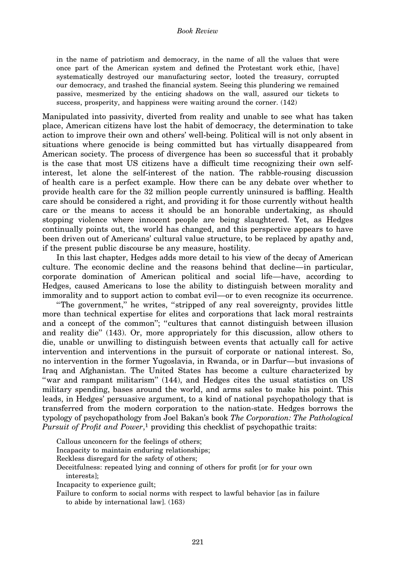#### Book Review

in the name of patriotism and democracy, in the name of all the values that were once part of the American system and defined the Protestant work ethic, [have] systematically destroyed our manufacturing sector, looted the treasury, corrupted our democracy, and trashed the financial system. Seeing this plundering we remained passive, mesmerized by the enticing shadows on the wall, assured our tickets to success, prosperity, and happiness were waiting around the corner. (142)

Manipulated into passivity, diverted from reality and unable to see what has taken place, American citizens have lost the habit of democracy, the determination to take action to improve their own and others' well-being. Political will is not only absent in situations where genocide is being committed but has virtually disappeared from American society. The process of divergence has been so successful that it probably is the case that most US citizens have a difficult time recognizing their own selfinterest, let alone the self-interest of the nation. The rabble-rousing discussion of health care is a perfect example. How there can be any debate over whether to provide health care for the 32 million people currently uninsured is baffling. Health care should be considered a right, and providing it for those currently without health care or the means to access it should be an honorable undertaking, as should stopping violence where innocent people are being slaughtered. Yet, as Hedges continually points out, the world has changed, and this perspective appears to have been driven out of Americans' cultural value structure, to be replaced by apathy and, if the present public discourse be any measure, hostility.

In this last chapter, Hedges adds more detail to his view of the decay of American culture. The economic decline and the reasons behind that decline—in particular, corporate domination of American political and social life—have, according to Hedges, caused Americans to lose the ability to distinguish between morality and immorality and to support action to combat evil—or to even recognize its occurrence.

''The government,'' he writes, ''stripped of any real sovereignty, provides little more than technical expertise for elites and corporations that lack moral restraints and a concept of the common"; "cultures that cannot distinguish between illusion and reality die'' (143). Or, more appropriately for this discussion, allow others to die, unable or unwilling to distinguish between events that actually call for active intervention and interventions in the pursuit of corporate or national interest. So, no intervention in the former Yugoslavia, in Rwanda, or in Darfur—but invasions of Iraq and Afghanistan. The United States has become a culture characterized by ''war and rampant militarism'' (144), and Hedges cites the usual statistics on US military spending, bases around the world, and arms sales to make his point. This leads, in Hedges' persuasive argument, to a kind of national psychopathology that is transferred from the modern corporation to the nation-state. Hedges borrows the typology of psychopathology from Joel Bakan's book The Corporation: The Pathological Pursuit of Profit and Power,<sup>1</sup> providing this checklist of psychopathic traits:

Callous unconcern for the feelings of others;

Incapacity to maintain enduring relationships;

Reckless disregard for the safety of others;

Deceitfulness: repeated lying and conning of others for profit [or for your own interests];

Incapacity to experience guilt;

Failure to conform to social norms with respect to lawful behavior [as in failure to abide by international law]. (163)